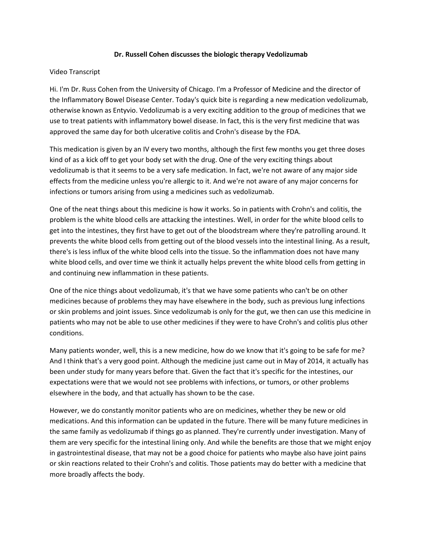## **Dr. Russell Cohen discusses the biologic therapy Vedolizumab**

## Video Transcript

Hi. I'm Dr. Russ Cohen from the University of Chicago. I'm a Professor of Medicine and the director of the Inflammatory Bowel Disease Center. Today's quick bite is regarding a new medication vedolizumab, otherwise known as Entyvio. Vedolizumab is a very exciting addition to the group of medicines that we use to treat patients with inflammatory bowel disease. In fact, this is the very first medicine that was approved the same day for both ulcerative colitis and Crohn's disease by the FDA.

This medication is given by an IV every two months, although the first few months you get three doses kind of as a kick off to get your body set with the drug. One of the very exciting things about vedolizumab is that it seems to be a very safe medication. In fact, we're not aware of any major side effects from the medicine unless you're allergic to it. And we're not aware of any major concerns for infections or tumors arising from using a medicines such as vedolizumab.

One of the neat things about this medicine is how it works. So in patients with Crohn's and colitis, the problem is the white blood cells are attacking the intestines. Well, in order for the white blood cells to get into the intestines, they first have to get out of the bloodstream where they're patrolling around. It prevents the white blood cells from getting out of the blood vessels into the intestinal lining. As a result, there's is less influx of the white blood cells into the tissue. So the inflammation does not have many white blood cells, and over time we think it actually helps prevent the white blood cells from getting in and continuing new inflammation in these patients.

One of the nice things about vedolizumab, it's that we have some patients who can't be on other medicines because of problems they may have elsewhere in the body, such as previous lung infections or skin problems and joint issues. Since vedolizumab is only for the gut, we then can use this medicine in patients who may not be able to use other medicines if they were to have Crohn's and colitis plus other conditions.

Many patients wonder, well, this is a new medicine, how do we know that it's going to be safe for me? And I think that's a very good point. Although the medicine just came out in May of 2014, it actually has been under study for many years before that. Given the fact that it's specific for the intestines, our expectations were that we would not see problems with infections, or tumors, or other problems elsewhere in the body, and that actually has shown to be the case.

However, we do constantly monitor patients who are on medicines, whether they be new or old medications. And this information can be updated in the future. There will be many future medicines in the same family as vedolizumab if things go as planned. They're currently under investigation. Many of them are very specific for the intestinal lining only. And while the benefits are those that we might enjoy in gastrointestinal disease, that may not be a good choice for patients who maybe also have joint pains or skin reactions related to their Crohn's and colitis. Those patients may do better with a medicine that more broadly affects the body.